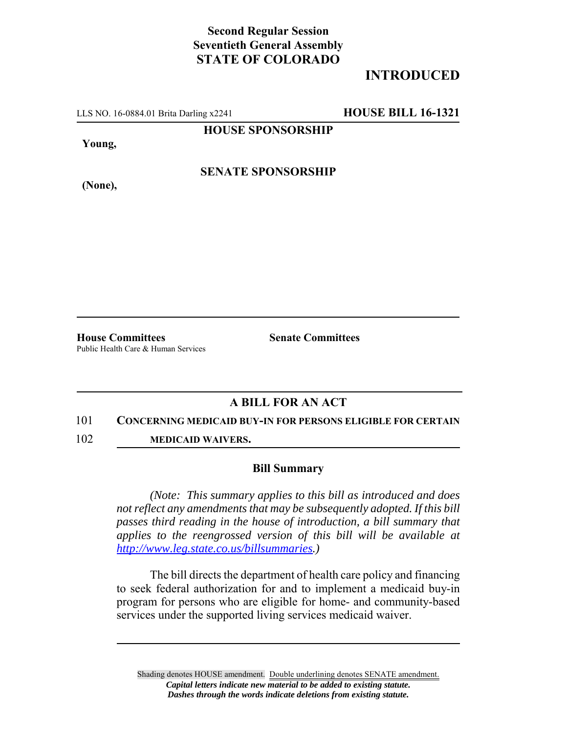## **Second Regular Session Seventieth General Assembly STATE OF COLORADO**

# **INTRODUCED**

LLS NO. 16-0884.01 Brita Darling x2241 **HOUSE BILL 16-1321**

**HOUSE SPONSORSHIP**

**Young,**

**(None),**

**SENATE SPONSORSHIP**

**House Committees Senate Committees** Public Health Care & Human Services

### **A BILL FOR AN ACT**

#### 101 **CONCERNING MEDICAID BUY-IN FOR PERSONS ELIGIBLE FOR CERTAIN**

102 **MEDICAID WAIVERS.**

### **Bill Summary**

*(Note: This summary applies to this bill as introduced and does not reflect any amendments that may be subsequently adopted. If this bill passes third reading in the house of introduction, a bill summary that applies to the reengrossed version of this bill will be available at http://www.leg.state.co.us/billsummaries.)*

The bill directs the department of health care policy and financing to seek federal authorization for and to implement a medicaid buy-in program for persons who are eligible for home- and community-based services under the supported living services medicaid waiver.

Shading denotes HOUSE amendment. Double underlining denotes SENATE amendment. *Capital letters indicate new material to be added to existing statute. Dashes through the words indicate deletions from existing statute.*